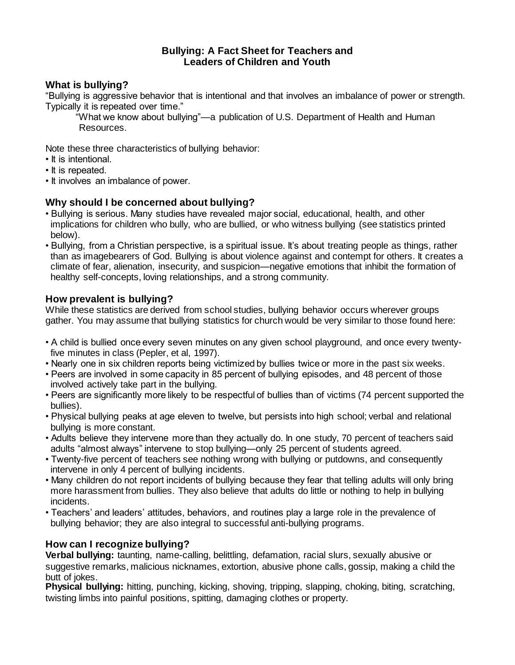### **Bullying: A Fact Sheet for Teachers and Leaders of Children and Youth**

### **What is bullying?**

"Bullying is aggressive behavior that is intentional and that involves an imbalance of power or strength. Typically it is repeated over time."

"What we know about bullying"—a publication of U.S. Department of Health and Human Resources.

Note these three characteristics of bullying behavior:

- It is intentional.
- It is repeated.
- It involves an imbalance of power.

## **Why should I be concerned about bullying?**

- Bullying is serious. Many studies have revealed major social, educational, health, and other implications for children who bully, who are bullied, or who witness bullying (see statistics printed below).
- Bullying, from a Christian perspective, is a spiritual issue. It's about treating people as things, rather than as imagebearers of God. Bullying is about violence against and contempt for others. It creates a climate of fear, alienation, insecurity, and suspicion—negative emotions that inhibit the formation of healthy self-concepts, loving relationships, and a strong community.

### **How prevalent is bullying?**

While these statistics are derived from school studies, bullying behavior occurs wherever groups gather. You may assume that bullying statistics for church would be very similar to those found here:

- A child is bullied once every seven minutes on any given school playground, and once every twenty five minutes in class (Pepler, et al, 1997).
- Nearly one in six children reports being victimized by bullies twice or more in the past six weeks.
- Peers are involved in some capacity in 85 percent of bullying episodes, and 48 percent of those involved actively take part in the bullying.
- Peers are significantly more likely to be respectful of bullies than of victims (74 percent supported the bullies).
- Physical bullying peaks at age eleven to twelve, but persists into high school; verbal and relational bullying is more constant.
- Adults believe they intervene more than they actually do. In one study, 70 percent of teachers said adults "almost always" intervene to stop bullying—only 25 percent of students agreed.
- Twenty-five percent of teachers see nothing wrong with bullying or putdowns, and consequently intervene in only 4 percent of bullying incidents.
- Many children do not report incidents of bullying because they fear that telling adults will only bring more harassment from bullies. They also believe that adults do little or nothing to help in bullying incidents.
- Teachers' and leaders' attitudes, behaviors, and routines play a large role in the prevalence of bullying behavior; they are also integral to successful anti-bullying programs.

### **How can I recognize bullying?**

**Verbal bullying:** taunting, name-calling, belittling, defamation, racial slurs, sexually abusive or suggestive remarks, malicious nicknames, extortion, abusive phone calls, gossip, making a child the butt of jokes.

**Physical bullying:** hitting, punching, kicking, shoving, tripping, slapping, choking, biting, scratching, twisting limbs into painful positions, spitting, damaging clothes or property.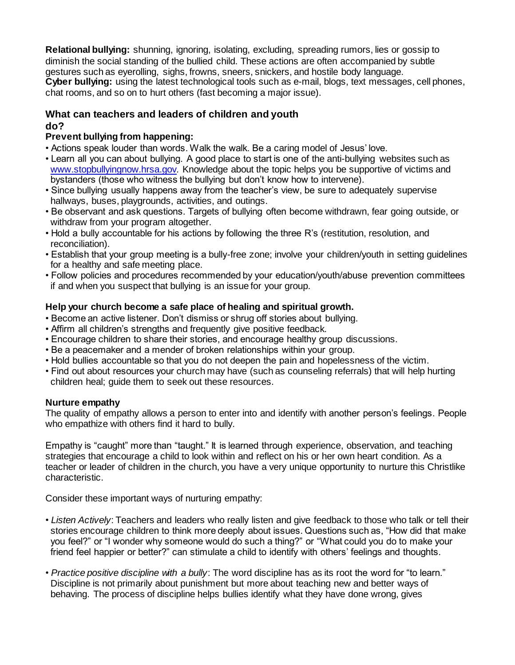**Relational bullying:** shunning, ignoring, isolating, excluding, spreading rumors, lies or gossip to diminish the social standing of the bullied child. These actions are often accompanied by subtle gestures such as eyerolling, sighs, frowns, sneers, snickers, and hostile body language. **Cyber bullying:** using the latest technological tools such as e-mail, blogs, text messages, cell phones, chat rooms, and so on to hurt others (fast becoming a major issue).

#### **What can teachers and leaders of children and youth do?**

# **Prevent bullying from happening:**

- Actions speak louder than words. Walk the walk. Be a caring model of Jesus' love.
- Learn all you can about bullying. A good place to start is one of the anti-bullying websites such as [www.stopbullyingnow.hrsa.gov](http://www.stopbullyingnow.hrsa.gov/)*.* Knowledge about the topic helps you be supportive of victims and bystanders (those who witness the bullying but don't know how to intervene).
- Since bullying usually happens away from the teacher's view, be sure to adequately supervise hallways, buses, playgrounds, activities, and outings.
- Be observant and ask questions. Targets of bullying often become withdrawn, fear going outside, or withdraw from your program altogether.
- Hold a bully accountable for his actions by following the three R's (restitution, resolution, and reconciliation).
- Establish that your group meeting is a bully-free zone; involve your children/youth in setting guidelines for a healthy and safe meeting place.
- Follow policies and procedures recommended by your education/youth/abuse prevention committees if and when you suspect that bullying is an issue for your group.

### **Help your church become a safe place of healing and spiritual growth.**

- Become an active listener. Don't dismiss or shrug off stories about bullying.
- Affirm all children's strengths and frequently give positive feedback.
- Encourage children to share their stories, and encourage healthy group discussions.
- Be a peacemaker and a mender of broken relationships within your group.
- Hold bullies accountable so that you do not deepen the pain and hopelessness of the victim.
- Find out about resources your church may have (such as counseling referrals) that will help hurting children heal; guide them to seek out these resources.

### **Nurture empathy**

The quality of empathy allows a person to enter into and identify with another person's feelings. People who empathize with others find it hard to bully.

Empathy is "caught" more than "taught." It is learned through experience, observation, and teaching strategies that encourage a child to look within and reflect on his or her own heart condition. As a teacher or leader of children in the church, you have a very unique opportunity to nurture this Christlike characteristic.

Consider these important ways of nurturing empathy:

- *Listen Actively*: Teachers and leaders who really listen and give feedback to those who talk or tell their stories encourage children to think more deeply about issues. Questions such as, "How did that make you feel?" or "I wonder why someone would do such a thing?" or "What could you do to make your friend feel happier or better?" can stimulate a child to identify with others' feelings and thoughts.
- *Practice positive discipline with a bully*: The word discipline has as its root the word for "to learn." Discipline is not primarily about punishment but more about teaching new and better ways of behaving. The process of discipline helps bullies identify what they have done wrong, gives